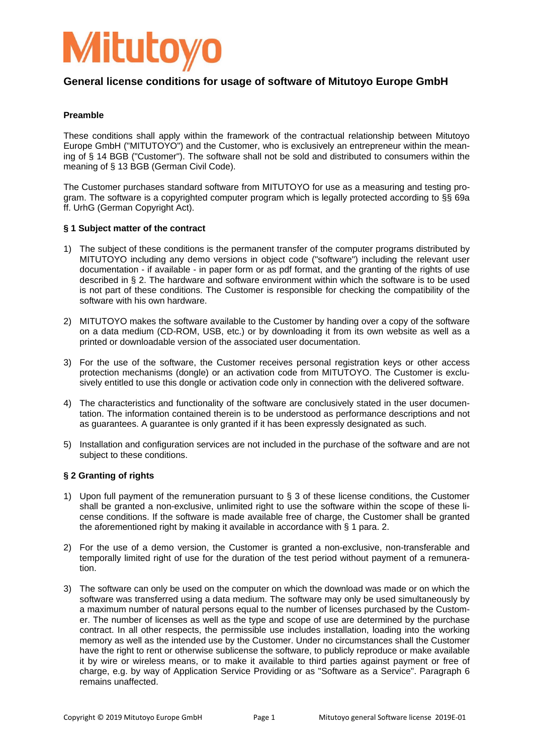

### **Preamble**

These conditions shall apply within the framework of the contractual relationship between Mitutoyo Europe GmbH ("MITUTOYO") and the Customer, who is exclusively an entrepreneur within the meaning of § 14 BGB ("Customer"). The software shall not be sold and distributed to consumers within the meaning of § 13 BGB (German Civil Code).

The Customer purchases standard software from MITUTOYO for use as a measuring and testing program. The software is a copyrighted computer program which is legally protected according to §§ 69a ff. UrhG (German Copyright Act).

#### **§ 1 Subject matter of the contract**

- 1) The subject of these conditions is the permanent transfer of the computer programs distributed by MITUTOYO including any demo versions in object code ("software") including the relevant user documentation - if available - in paper form or as pdf format, and the granting of the rights of use described in § 2. The hardware and software environment within which the software is to be used is not part of these conditions. The Customer is responsible for checking the compatibility of the software with his own hardware.
- 2) MITUTOYO makes the software available to the Customer by handing over a copy of the software on a data medium (CD-ROM, USB, etc.) or by downloading it from its own website as well as a printed or downloadable version of the associated user documentation.
- 3) For the use of the software, the Customer receives personal registration keys or other access protection mechanisms (dongle) or an activation code from MITUTOYO. The Customer is exclusively entitled to use this dongle or activation code only in connection with the delivered software.
- 4) The characteristics and functionality of the software are conclusively stated in the user documentation. The information contained therein is to be understood as performance descriptions and not as guarantees. A guarantee is only granted if it has been expressly designated as such.
- 5) Installation and configuration services are not included in the purchase of the software and are not subject to these conditions.

## **§ 2 Granting of rights**

- 1) Upon full payment of the remuneration pursuant to § 3 of these license conditions, the Customer shall be granted a non-exclusive, unlimited right to use the software within the scope of these license conditions. If the software is made available free of charge, the Customer shall be granted the aforementioned right by making it available in accordance with § 1 para. 2.
- 2) For the use of a demo version, the Customer is granted a non-exclusive, non-transferable and temporally limited right of use for the duration of the test period without payment of a remuneration.
- 3) The software can only be used on the computer on which the download was made or on which the software was transferred using a data medium. The software may only be used simultaneously by a maximum number of natural persons equal to the number of licenses purchased by the Customer. The number of licenses as well as the type and scope of use are determined by the purchase contract. In all other respects, the permissible use includes installation, loading into the working memory as well as the intended use by the Customer. Under no circumstances shall the Customer have the right to rent or otherwise sublicense the software, to publicly reproduce or make available it by wire or wireless means, or to make it available to third parties against payment or free of charge, e.g. by way of Application Service Providing or as "Software as a Service". Paragraph 6 remains unaffected.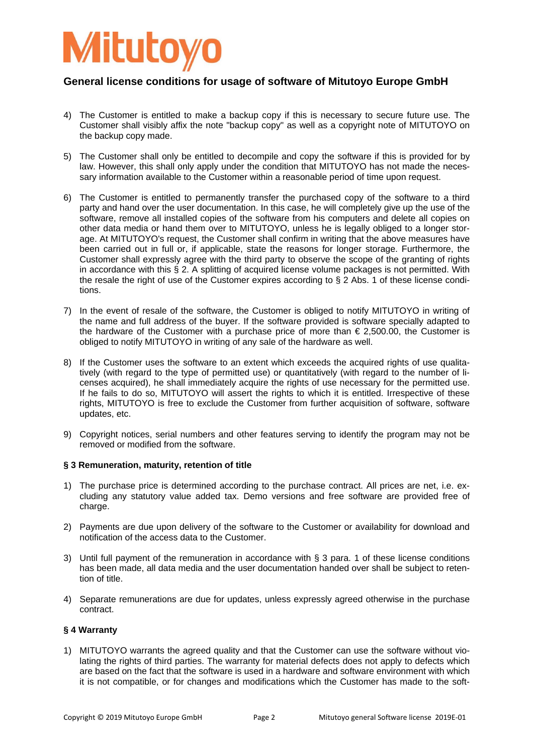

- 4) The Customer is entitled to make a backup copy if this is necessary to secure future use. The Customer shall visibly affix the note "backup copy" as well as a copyright note of MITUTOYO on the backup copy made.
- 5) The Customer shall only be entitled to decompile and copy the software if this is provided for by law. However, this shall only apply under the condition that MITUTOYO has not made the necessary information available to the Customer within a reasonable period of time upon request.
- 6) The Customer is entitled to permanently transfer the purchased copy of the software to a third party and hand over the user documentation. In this case, he will completely give up the use of the software, remove all installed copies of the software from his computers and delete all copies on other data media or hand them over to MITUTOYO, unless he is legally obliged to a longer storage. At MITUTOYO's request, the Customer shall confirm in writing that the above measures have been carried out in full or, if applicable, state the reasons for longer storage. Furthermore, the Customer shall expressly agree with the third party to observe the scope of the granting of rights in accordance with this § 2. A splitting of acquired license volume packages is not permitted. With the resale the right of use of the Customer expires according to § 2 Abs. 1 of these license conditions.
- 7) In the event of resale of the software, the Customer is obliged to notify MITUTOYO in writing of the name and full address of the buyer. If the software provided is software specially adapted to the hardware of the Customer with a purchase price of more than  $\epsilon$  2.500.00, the Customer is obliged to notify MITUTOYO in writing of any sale of the hardware as well.
- 8) If the Customer uses the software to an extent which exceeds the acquired rights of use qualitatively (with regard to the type of permitted use) or quantitatively (with regard to the number of licenses acquired), he shall immediately acquire the rights of use necessary for the permitted use. If he fails to do so, MITUTOYO will assert the rights to which it is entitled. Irrespective of these rights, MITUTOYO is free to exclude the Customer from further acquisition of software, software updates, etc.
- 9) Copyright notices, serial numbers and other features serving to identify the program may not be removed or modified from the software.

### **§ 3 Remuneration, maturity, retention of title**

- 1) The purchase price is determined according to the purchase contract. All prices are net, i.e. excluding any statutory value added tax. Demo versions and free software are provided free of charge.
- 2) Payments are due upon delivery of the software to the Customer or availability for download and notification of the access data to the Customer.
- 3) Until full payment of the remuneration in accordance with § 3 para. 1 of these license conditions has been made, all data media and the user documentation handed over shall be subject to retention of title.
- 4) Separate remunerations are due for updates, unless expressly agreed otherwise in the purchase contract.

#### **§ 4 Warranty**

1) MITUTOYO warrants the agreed quality and that the Customer can use the software without violating the rights of third parties. The warranty for material defects does not apply to defects which are based on the fact that the software is used in a hardware and software environment with which it is not compatible, or for changes and modifications which the Customer has made to the soft-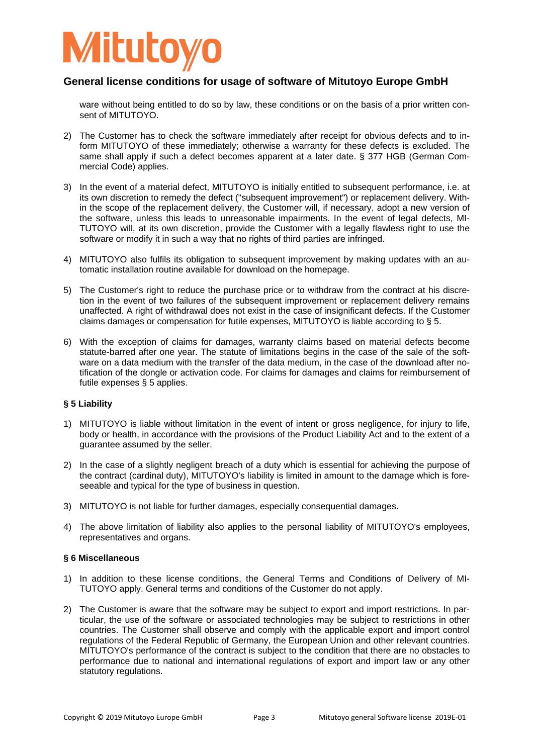

ware without being entitled to do so by law, these conditions or on the basis of a prior written consent of MITUTOYO.

- 2) The Customer has to check the software immediately after receipt for obvious defects and to inform MITUTOYO of these immediately; otherwise a warranty for these defects is excluded. The same shall apply if such a defect becomes apparent at a later date. § 377 HGB (German Commercial Code) applies.
- 3) In the event of a material defect, MITUTOYO is initially entitled to subsequent performance, i.e. at its own discretion to remedy the defect ("subsequent improvement") or replacement delivery. Within the scope of the replacement delivery, the Customer will, if necessary, adopt a new version of the software, unless this leads to unreasonable impairments. In the event of legal defects, MI-TUTOYO will, at its own discretion, provide the Customer with a legally flawless right to use the software or modify it in such a way that no rights of third parties are infringed.
- 4) MITUTOYO also fulfils its obligation to subsequent improvement by making updates with an automatic installation routine available for download on the homepage.
- 5) The Customer's right to reduce the purchase price or to withdraw from the contract at his discretion in the event of two failures of the subsequent improvement or replacement delivery remains unaffected. A right of withdrawal does not exist in the case of insignificant defects. If the Customer claims damages or compensation for futile expenses, MITUTOYO is liable according to § 5.
- 6) With the exception of claims for damages, warranty claims based on material defects become statute-barred after one year. The statute of limitations begins in the case of the sale of the software on a data medium with the transfer of the data medium, in the case of the download after notification of the dongle or activation code. For claims for damages and claims for reimbursement of futile expenses § 5 applies.

#### **§ 5 Liability**

- 1) MITUTOYO is liable without limitation in the event of intent or gross negligence, for injury to life, body or health, in accordance with the provisions of the Product Liability Act and to the extent of a guarantee assumed by the seller.
- 2) In the case of a slightly negligent breach of a duty which is essential for achieving the purpose of the contract (cardinal duty), MITUTOYO's liability is limited in amount to the damage which is foreseeable and typical for the type of business in question.
- 3) MITUTOYO is not liable for further damages, especially consequential damages.
- 4) The above limitation of liability also applies to the personal liability of MITUTOYO's employees, representatives and organs.

### **§ 6 Miscellaneous**

- 1) In addition to these license conditions, the General Terms and Conditions of Delivery of MI-TUTOYO apply. General terms and conditions of the Customer do not apply.
- 2) The Customer is aware that the software may be subject to export and import restrictions. In particular, the use of the software or associated technologies may be subject to restrictions in other countries. The Customer shall observe and comply with the applicable export and import control regulations of the Federal Republic of Germany, the European Union and other relevant countries. MITUTOYO's performance of the contract is subject to the condition that there are no obstacles to performance due to national and international regulations of export and import law or any other statutory regulations.